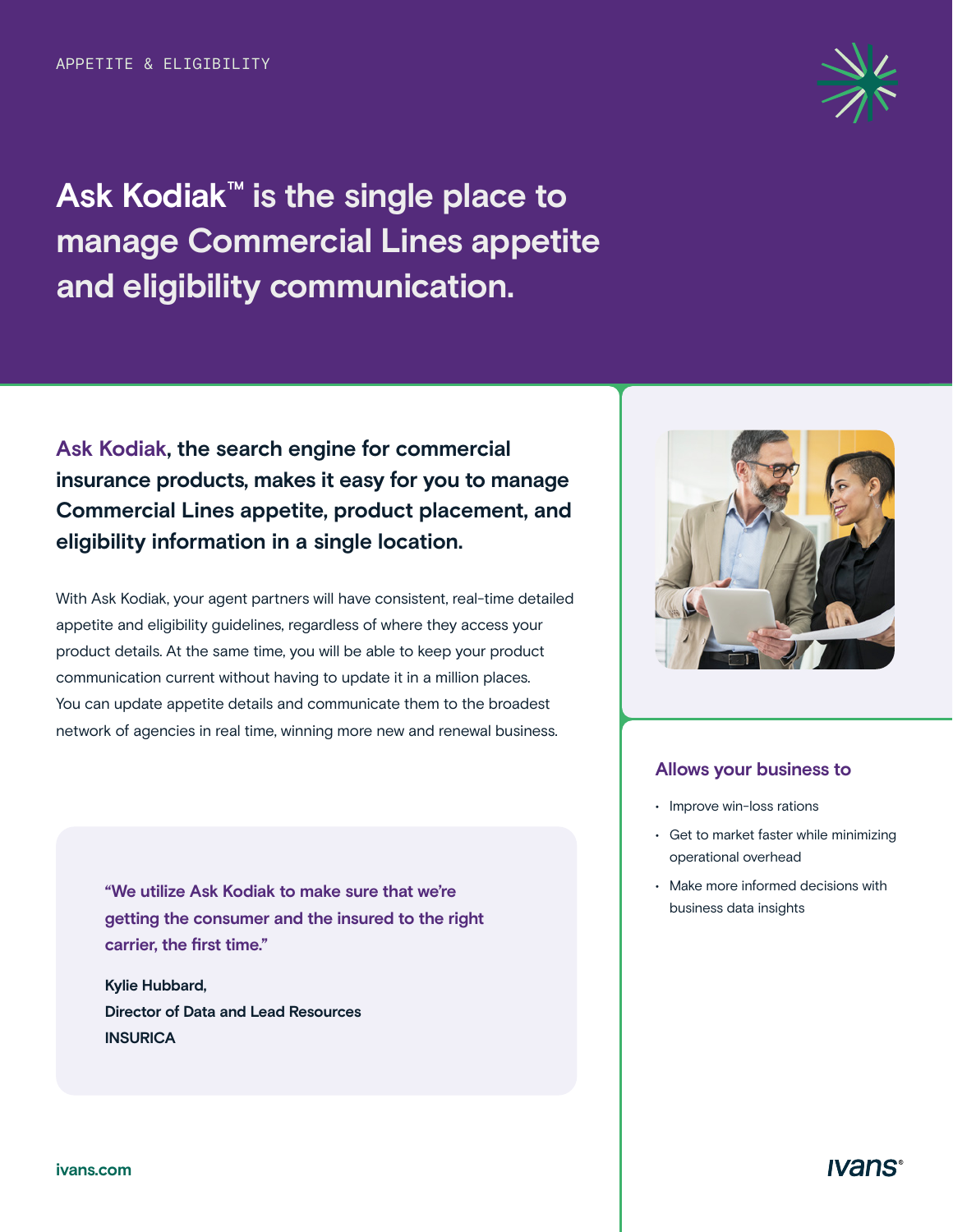**Ask Kodiak™ is the single place to manage Commercial Lines appetite and eligibility communication.** 

**Ask Kodiak, the search engine for commercial insurance products, makes it easy for you to manage Commercial Lines appetite, product placement, and eligibility information in a single location.** 

With Ask Kodiak, your agent partners will have consistent, real-time detailed appetite and eligibility guidelines, regardless of where they access your product details. At the same time, you will be able to keep your product communication current without having to update it in a million places. You can update appetite details and communicate them to the broadest network of agencies in real time, winning more new and renewal business.

**"We utilize Ask Kodiak to make sure that we're getting the consumer and the insured to the right carrier, the first time."** 

**Kylie Hubbard, Director of Data and Lead Resources INSURICA** 



#### **Allows your business to**

- Improve win-loss rations
- Get to market faster while minimizing operational overhead
- Make more informed decisions with business data insights



**Ivans**